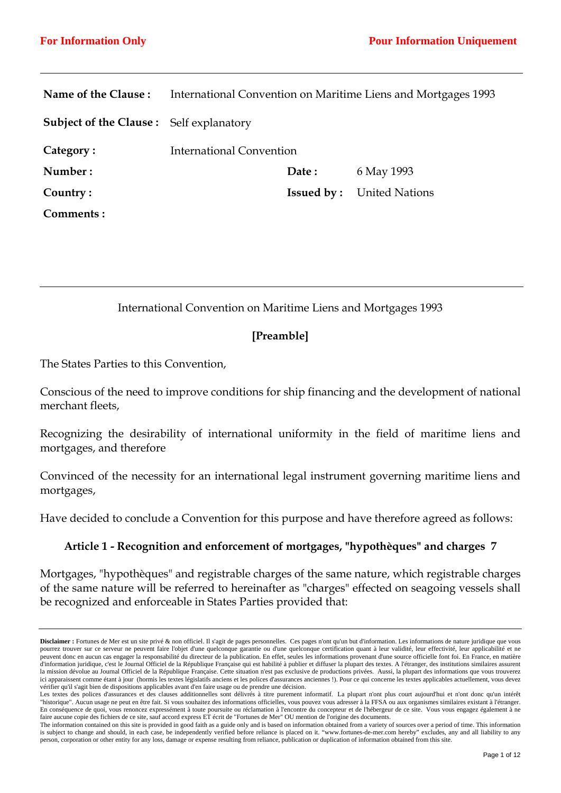| Name of the Clause:                            | International Convention on Maritime Liens and Mortgages 1993 |        |                                  |
|------------------------------------------------|---------------------------------------------------------------|--------|----------------------------------|
| <b>Subject of the Clause:</b> Self explanatory |                                                               |        |                                  |
| Category:                                      | <b>International Convention</b>                               |        |                                  |
| Number:                                        |                                                               | Date : | 6 May 1993                       |
| Country:                                       |                                                               |        | <b>Issued by:</b> United Nations |
| Comments:                                      |                                                               |        |                                  |

International Convention on Maritime Liens and Mortgages 1993

## **[Preamble]**

The States Parties to this Convention,

Conscious of the need to improve conditions for ship financing and the development of national merchant fleets,

Recognizing the desirability of international uniformity in the field of maritime liens and mortgages, and therefore

Convinced of the necessity for an international legal instrument governing maritime liens and mortgages,

Have decided to conclude a Convention for this purpose and have therefore agreed as follows:

## **Article 1 - Recognition and enforcement of mortgages, "hypothèques" and charges 7**

Mortgages, "hypothèques" and registrable charges of the same nature, which registrable charges of the same nature will be referred to hereinafter as "charges" effected on seagoing vessels shall be recognized and enforceable in States Parties provided that:

**Disclaimer :** Fortunes de Mer est un site privé & non officiel. Il s'agit de pages personnelles. Ces pages n'ont qu'un but d'information. Les informations de nature juridique que vous pourrez trouver sur ce serveur ne peuvent faire l'objet d'une quelconque garantie ou d'une quelconque certification quant à leur validité, leur effectivité, leur applicabilité et ne peuvent donc en aucun cas engager la responsabilité du directeur de la publication. En effet, seules les informations provenant d'une source officielle font foi. En France, en matière d'information juridique, c'est le Journal Officiel de la République Française qui est habilité à publier et diffuser la plupart des textes. A l'étranger, des institutions similaires assurent la mission dévolue au Journal Officiel de la République Française. Cette situation n'est pas exclusive de productions privées. Aussi, la plupart des informations que vous trouverez ici apparaissent comme étant à jour (hormis les textes législatifs anciens et les polices d'assurances anciennes !). Pour ce qui concerne les textes applicables actuellement, vous devez vérifier qu'il s'agit bien de dispositions applicables avant d'en faire usage ou de prendre une décision.

Les textes des polices d'assurances et des clauses additionnelles sont délivrés à titre purement informatif. La plupart n'ont plus court aujourd'hui et n'ont donc qu'un intérêt "historique". Aucun usage ne peut en être fait. Si vous souhaitez des informations officielles, vous pouvez vous adresser à la FFSA ou aux organismes similaires existant à l'étranger. En conséquence de quoi, vous renoncez expressément à toute poursuite ou réclamation à l'encontre du concepteur et de l'hébergeur de ce site. Vous vous engagez également à ne faire aucune copie des fichiers de ce site, sauf accord express ET écrit de "Fortunes de Mer" OU mention de l'origine des documents.

The information contained on this site is provided in good faith as a guide only and is based on information obtained from a variety of sources over a period of time. This information is subject to change and should, in each case, be independently verified before reliance is placed on it. "www.fortunes-de-mer.com hereby" excludes, any and all liability to any person, corporation or other entity for any loss, damage or expense resulting from reliance, publication or duplication of information obtained from this site.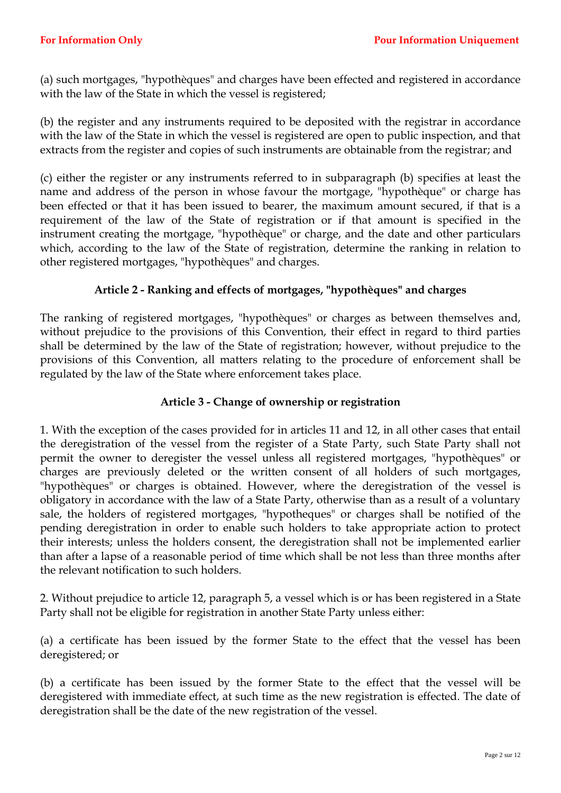(a) such mortgages, "hypothèques" and charges have been effected and registered in accordance with the law of the State in which the vessel is registered;

(b) the register and any instruments required to be deposited with the registrar in accordance with the law of the State in which the vessel is registered are open to public inspection, and that extracts from the register and copies of such instruments are obtainable from the registrar; and

(c) either the register or any instruments referred to in subparagraph (b) specifies at least the name and address of the person in whose favour the mortgage, "hypothèque" or charge has been effected or that it has been issued to bearer, the maximum amount secured, if that is a requirement of the law of the State of registration or if that amount is specified in the instrument creating the mortgage, "hypothèque" or charge, and the date and other particulars which, according to the law of the State of registration, determine the ranking in relation to other registered mortgages, "hypothèques" and charges.

# **Article 2 - Ranking and effects of mortgages, "hypothèques" and charges**

The ranking of registered mortgages, "hypothèques" or charges as between themselves and, without prejudice to the provisions of this Convention, their effect in regard to third parties shall be determined by the law of the State of registration; however, without prejudice to the provisions of this Convention, all matters relating to the procedure of enforcement shall be regulated by the law of the State where enforcement takes place.

## **Article 3 - Change of ownership or registration**

1. With the exception of the cases provided for in articles 11 and 12, in all other cases that entail the deregistration of the vessel from the register of a State Party, such State Party shall not permit the owner to deregister the vessel unless all registered mortgages, "hypothèques" or charges are previously deleted or the written consent of all holders of such mortgages, "hypothèques" or charges is obtained. However, where the deregistration of the vessel is obligatory in accordance with the law of a State Party, otherwise than as a result of a voluntary sale, the holders of registered mortgages, "hypotheques" or charges shall be notified of the pending deregistration in order to enable such holders to take appropriate action to protect their interests; unless the holders consent, the deregistration shall not be implemented earlier than after a lapse of a reasonable period of time which shall be not less than three months after the relevant notification to such holders.

2. Without prejudice to article 12, paragraph 5, a vessel which is or has been registered in a State Party shall not be eligible for registration in another State Party unless either:

(a) a certificate has been issued by the former State to the effect that the vessel has been deregistered; or

(b) a certificate has been issued by the former State to the effect that the vessel will be deregistered with immediate effect, at such time as the new registration is effected. The date of deregistration shall be the date of the new registration of the vessel.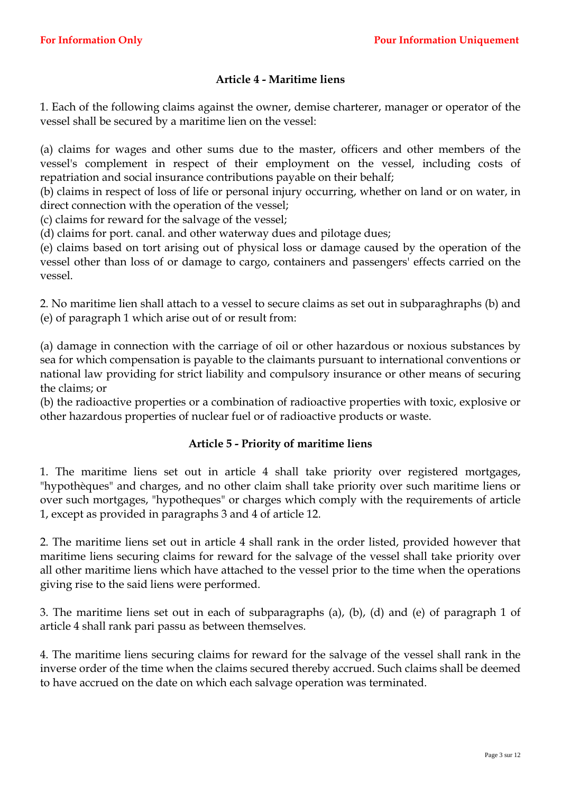# **Article 4 - Maritime liens**

1. Each of the following claims against the owner, demise charterer, manager or operator of the vessel shall be secured by a maritime lien on the vessel:

(a) claims for wages and other sums due to the master, officers and other members of the vessel's complement in respect of their employment on the vessel, including costs of repatriation and social insurance contributions payable on their behalf;

(b) claims in respect of loss of life or personal injury occurring, whether on land or on water, in direct connection with the operation of the vessel;

(c) claims for reward for the salvage of the vessel;

(d) claims for port. canal. and other waterway dues and pilotage dues;

(e) claims based on tort arising out of physical loss or damage caused by the operation of the vessel other than loss of or damage to cargo, containers and passengers' effects carried on the vessel.

2. No maritime lien shall attach to a vessel to secure claims as set out in subparaghraphs (b) and (e) of paragraph 1 which arise out of or result from:

(a) damage in connection with the carriage of oil or other hazardous or noxious substances by sea for which compensation is payable to the claimants pursuant to international conventions or national law providing for strict liability and compulsory insurance or other means of securing the claims; or

(b) the radioactive properties or a combination of radioactive properties with toxic, explosive or other hazardous properties of nuclear fuel or of radioactive products or waste.

## **Article 5 - Priority of maritime liens**

1. The maritime liens set out in article 4 shall take priority over registered mortgages, "hypothèques" and charges, and no other claim shall take priority over such maritime liens or over such mortgages, "hypotheques" or charges which comply with the requirements of article 1, except as provided in paragraphs 3 and 4 of article 12.

2. The maritime liens set out in article 4 shall rank in the order listed, provided however that maritime liens securing claims for reward for the salvage of the vessel shall take priority over all other maritime liens which have attached to the vessel prior to the time when the operations giving rise to the said liens were performed.

3. The maritime liens set out in each of subparagraphs (a), (b), (d) and (e) of paragraph 1 of article 4 shall rank pari passu as between themselves.

4. The maritime liens securing claims for reward for the salvage of the vessel shall rank in the inverse order of the time when the claims secured thereby accrued. Such claims shall be deemed to have accrued on the date on which each salvage operation was terminated.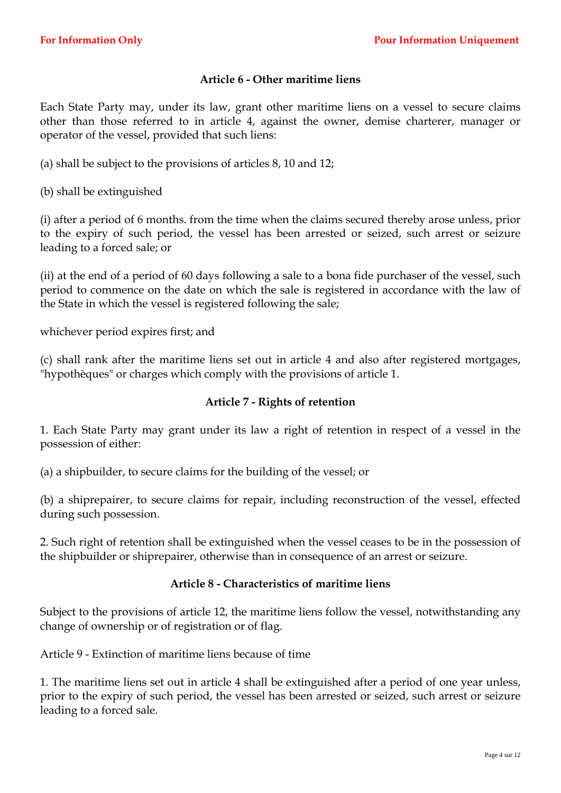# **Article 6 - Other maritime liens**

Each State Party may, under its law, grant other maritime liens on a vessel to secure claims other than those referred to in article 4, against the owner, demise charterer, manager or operator of the vessel, provided that such liens:

- (a) shall be subject to the provisions of articles 8, 10 and 12;
- (b) shall be extinguished

(i) after a period of 6 months. from the time when the claims secured thereby arose unless, prior to the expiry of such period, the vessel has been arrested or seized, such arrest or seizure leading to a forced sale; or

(ii) at the end of a period of 60 days following a sale to a bona fide purchaser of the vessel, such period to commence on the date on which the sale is registered in accordance with the law of the State in which the vessel is registered following the sale;

whichever period expires first; and

(c) shall rank after the maritime liens set out in article 4 and also after registered mortgages, "hypothèques" or charges which comply with the provisions of article 1.

## **Article 7 - Rights of retention**

1. Each State Party may grant under its law a right of retention in respect of a vessel in the possession of either:

(a) a shipbuilder, to secure claims for the building of the vessel; or

(b) a shiprepairer, to secure claims for repair, including reconstruction of the vessel, effected during such possession.

2. Such right of retention shall be extinguished when the vessel ceases to be in the possession of the shipbuilder or shiprepairer, otherwise than in consequence of an arrest or seizure.

## **Article 8 - Characteristics of maritime liens**

Subject to the provisions of article 12, the maritime liens follow the vessel, notwithstanding any change of ownership or of registration or of flag.

Article 9 - Extinction of maritime liens because of time

1. The maritime liens set out in article 4 shall be extinguished after a period of one year unless, prior to the expiry of such period, the vessel has been arrested or seized, such arrest or seizure leading to a forced sale.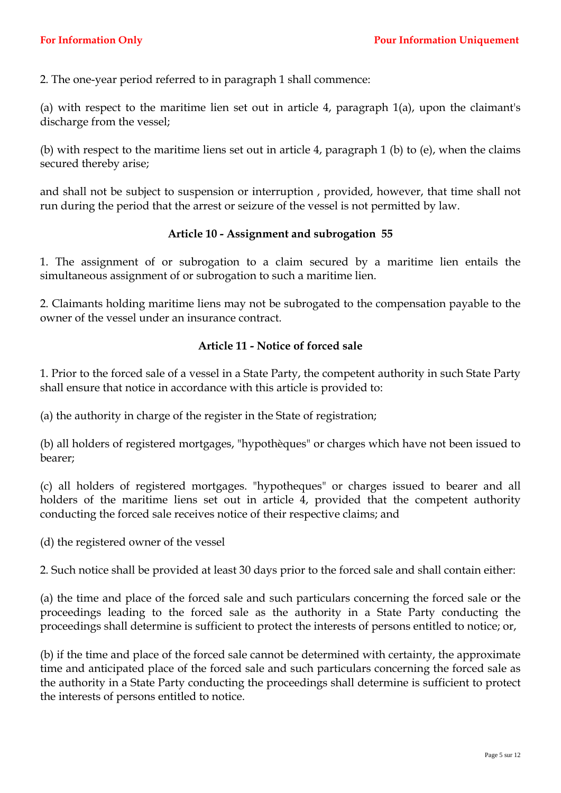2. The one-year period referred to in paragraph 1 shall commence:

(a) with respect to the maritime lien set out in article 4, paragraph 1(a), upon the claimant's discharge from the vessel;

(b) with respect to the maritime liens set out in article 4, paragraph 1 (b) to (e), when the claims secured thereby arise;

and shall not be subject to suspension or interruption , provided, however, that time shall not run during the period that the arrest or seizure of the vessel is not permitted by law.

## **Article 10 - Assignment and subrogation 55**

1. The assignment of or subrogation to a claim secured by a maritime lien entails the simultaneous assignment of or subrogation to such a maritime lien.

2. Claimants holding maritime liens may not be subrogated to the compensation payable to the owner of the vessel under an insurance contract.

# **Article 11 - Notice of forced sale**

1. Prior to the forced sale of a vessel in a State Party, the competent authority in such State Party shall ensure that notice in accordance with this article is provided to:

(a) the authority in charge of the register in the State of registration;

(b) all holders of registered mortgages, "hypothèques" or charges which have not been issued to bearer;

(c) all holders of registered mortgages. "hypotheques" or charges issued to bearer and all holders of the maritime liens set out in article 4, provided that the competent authority conducting the forced sale receives notice of their respective claims; and

(d) the registered owner of the vessel

2. Such notice shall be provided at least 30 days prior to the forced sale and shall contain either:

(a) the time and place of the forced sale and such particulars concerning the forced sale or the proceedings leading to the forced sale as the authority in a State Party conducting the proceedings shall determine is sufficient to protect the interests of persons entitled to notice; or,

(b) if the time and place of the forced sale cannot be determined with certainty, the approximate time and anticipated place of the forced sale and such particulars concerning the forced sale as the authority in a State Party conducting the proceedings shall determine is sufficient to protect the interests of persons entitled to notice.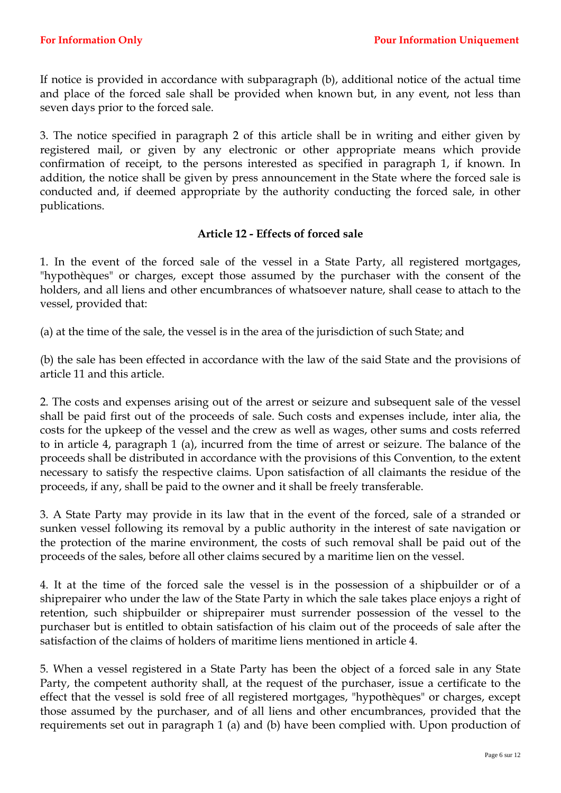If notice is provided in accordance with subparagraph (b), additional notice of the actual time and place of the forced sale shall be provided when known but, in any event, not less than seven days prior to the forced sale.

3. The notice specified in paragraph 2 of this article shall be in writing and either given by registered mail, or given by any electronic or other appropriate means which provide confirmation of receipt, to the persons interested as specified in paragraph 1, if known. In addition, the notice shall be given by press announcement in the State where the forced sale is conducted and, if deemed appropriate by the authority conducting the forced sale, in other publications.

# **Article 12 - Effects of forced sale**

1. In the event of the forced sale of the vessel in a State Party, all registered mortgages, "hypothèques" or charges, except those assumed by the purchaser with the consent of the holders, and all liens and other encumbrances of whatsoever nature, shall cease to attach to the vessel, provided that:

(a) at the time of the sale, the vessel is in the area of the jurisdiction of such State; and

(b) the sale has been effected in accordance with the law of the said State and the provisions of article 11 and this article.

2. The costs and expenses arising out of the arrest or seizure and subsequent sale of the vessel shall be paid first out of the proceeds of sale. Such costs and expenses include, inter alia, the costs for the upkeep of the vessel and the crew as well as wages, other sums and costs referred to in article 4, paragraph 1 (a), incurred from the time of arrest or seizure. The balance of the proceeds shall be distributed in accordance with the provisions of this Convention, to the extent necessary to satisfy the respective claims. Upon satisfaction of all claimants the residue of the proceeds, if any, shall be paid to the owner and it shall be freely transferable.

3. A State Party may provide in its law that in the event of the forced, sale of a stranded or sunken vessel following its removal by a public authority in the interest of sate navigation or the protection of the marine environment, the costs of such removal shall be paid out of the proceeds of the sales, before all other claims secured by a maritime lien on the vessel.

4. It at the time of the forced sale the vessel is in the possession of a shipbuilder or of a shiprepairer who under the law of the State Party in which the sale takes place enjoys a right of retention, such shipbuilder or shiprepairer must surrender possession of the vessel to the purchaser but is entitled to obtain satisfaction of his claim out of the proceeds of sale after the satisfaction of the claims of holders of maritime liens mentioned in article 4.

5. When a vessel registered in a State Party has been the object of a forced sale in any State Party, the competent authority shall, at the request of the purchaser, issue a certificate to the effect that the vessel is sold free of all registered mortgages, "hypothèques" or charges, except those assumed by the purchaser, and of all liens and other encumbrances, provided that the requirements set out in paragraph 1 (a) and (b) have been complied with. Upon production of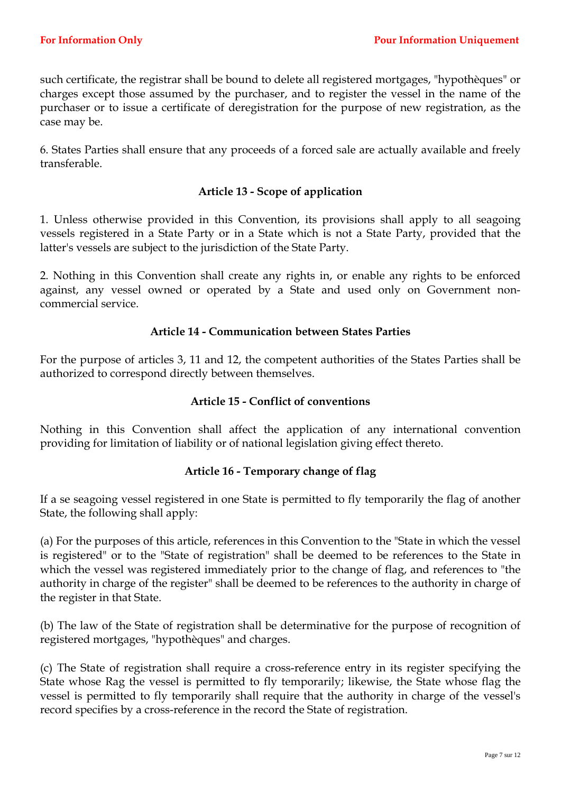such certificate, the registrar shall be bound to delete all registered mortgages, "hypothèques" or charges except those assumed by the purchaser, and to register the vessel in the name of the purchaser or to issue a certificate of deregistration for the purpose of new registration, as the case may be.

6. States Parties shall ensure that any proceeds of a forced sale are actually available and freely transferable.

## **Article 13 - Scope of application**

1. Unless otherwise provided in this Convention, its provisions shall apply to all seagoing vessels registered in a State Party or in a State which is not a State Party, provided that the latter's vessels are subject to the jurisdiction of the State Party.

2. Nothing in this Convention shall create any rights in, or enable any rights to be enforced against, any vessel owned or operated by a State and used only on Government noncommercial service.

# **Article 14 - Communication between States Parties**

For the purpose of articles 3, 11 and 12, the competent authorities of the States Parties shall be authorized to correspond directly between themselves.

## **Article 15 - Conflict of conventions**

Nothing in this Convention shall affect the application of any international convention providing for limitation of liability or of national legislation giving effect thereto.

## **Article 16 - Temporary change of flag**

If a se seagoing vessel registered in one State is permitted to fly temporarily the flag of another State, the following shall apply:

(a) For the purposes of this article, references in this Convention to the "State in which the vessel is registered" or to the "State of registration" shall be deemed to be references to the State in which the vessel was registered immediately prior to the change of flag, and references to "the authority in charge of the register" shall be deemed to be references to the authority in charge of the register in that State.

(b) The law of the State of registration shall be determinative for the purpose of recognition of registered mortgages, "hypothèques" and charges.

(c) The State of registration shall require a cross-reference entry in its register specifying the State whose Rag the vessel is permitted to fly temporarily; likewise, the State whose flag the vessel is permitted to fly temporarily shall require that the authority in charge of the vessel's record specifies by a cross-reference in the record the State of registration.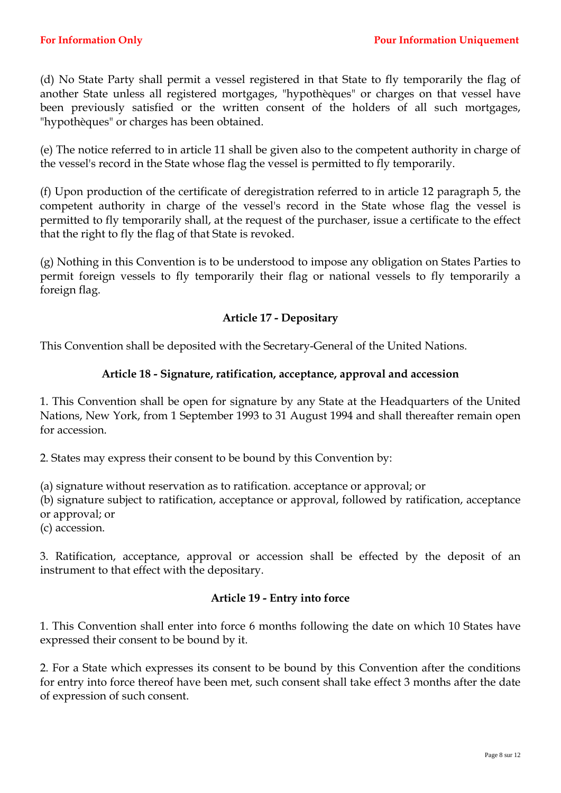(d) No State Party shall permit a vessel registered in that State to fly temporarily the flag of another State unless all registered mortgages, "hypothèques" or charges on that vessel have been previously satisfied or the written consent of the holders of all such mortgages, "hypothèques" or charges has been obtained.

(e) The notice referred to in article 11 shall be given also to the competent authority in charge of the vessel's record in the State whose flag the vessel is permitted to fly temporarily.

(f) Upon production of the certificate of deregistration referred to in article 12 paragraph 5, the competent authority in charge of the vessel's record in the State whose flag the vessel is permitted to fly temporarily shall, at the request of the purchaser, issue a certificate to the effect that the right to fly the flag of that State is revoked.

(g) Nothing in this Convention is to be understood to impose any obligation on States Parties to permit foreign vessels to fly temporarily their flag or national vessels to fly temporarily a foreign flag.

# **Article 17 - Depositary**

This Convention shall be deposited with the Secretary-General of the United Nations.

# **Article 18 - Signature, ratification, acceptance, approval and accession**

1. This Convention shall be open for signature by any State at the Headquarters of the United Nations, New York, from 1 September 1993 to 31 August 1994 and shall thereafter remain open for accession.

2. States may express their consent to be bound by this Convention by:

(a) signature without reservation as to ratification. acceptance or approval; or

(b) signature subject to ratification, acceptance or approval, followed by ratification, acceptance or approval; or

(c) accession.

3. Ratification, acceptance, approval or accession shall be effected by the deposit of an instrument to that effect with the depositary.

## **Article 19 - Entry into force**

1. This Convention shall enter into force 6 months following the date on which 10 States have expressed their consent to be bound by it.

2. For a State which expresses its consent to be bound by this Convention after the conditions for entry into force thereof have been met, such consent shall take effect 3 months after the date of expression of such consent.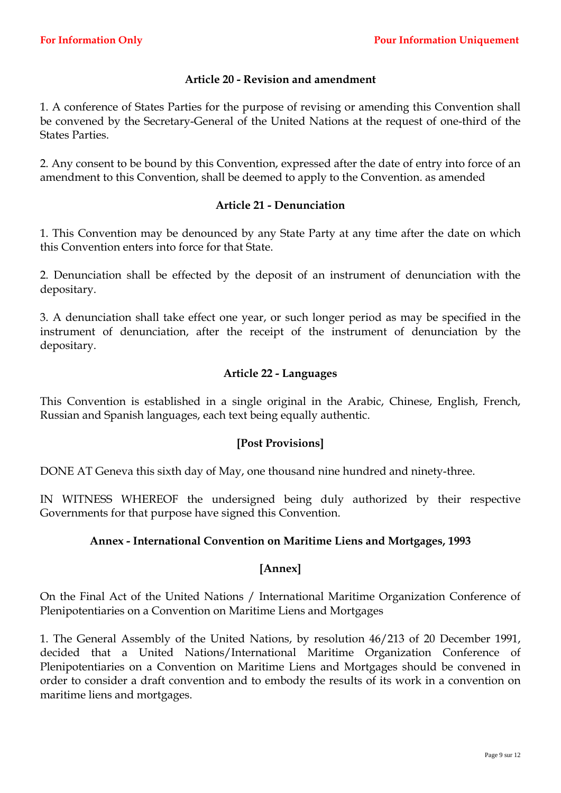# **Article 20 - Revision and amendment**

1. A conference of States Parties for the purpose of revising or amending this Convention shall be convened by the Secretary-General of the United Nations at the request of one-third of the States Parties.

2. Any consent to be bound by this Convention, expressed after the date of entry into force of an amendment to this Convention, shall be deemed to apply to the Convention. as amended

## **Article 21 - Denunciation**

1. This Convention may be denounced by any State Party at any time after the date on which this Convention enters into force for that State.

2. Denunciation shall be effected by the deposit of an instrument of denunciation with the depositary.

3. A denunciation shall take effect one year, or such longer period as may be specified in the instrument of denunciation, after the receipt of the instrument of denunciation by the depositary.

# **Article 22 - Languages**

This Convention is established in a single original in the Arabic, Chinese, English, French, Russian and Spanish languages, each text being equally authentic.

# **[Post Provisions]**

DONE AT Geneva this sixth day of May, one thousand nine hundred and ninety-three.

IN WITNESS WHEREOF the undersigned being duly authorized by their respective Governments for that purpose have signed this Convention.

## **Annex - International Convention on Maritime Liens and Mortgages, 1993**

# **[Annex]**

On the Final Act of the United Nations / International Maritime Organization Conference of Plenipotentiaries on a Convention on Maritime Liens and Mortgages

1. The General Assembly of the United Nations, by resolution 46/213 of 20 December 1991, decided that a United Nations/International Maritime Organization Conference of Plenipotentiaries on a Convention on Maritime Liens and Mortgages should be convened in order to consider a draft convention and to embody the results of its work in a convention on maritime liens and mortgages.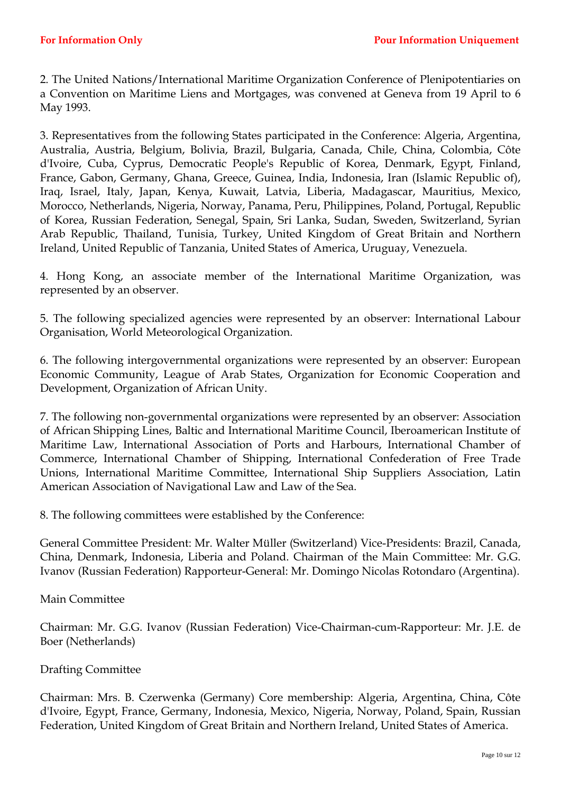2. The United Nations/International Maritime Organization Conference of Plenipotentiaries on a Convention on Maritime Liens and Mortgages, was convened at Geneva from 19 April to 6 May 1993.

3. Representatives from the following States participated in the Conference: Algeria, Argentina, Australia, Austria, Belgium, Bolivia, Brazil, Bulgaria, Canada, Chile, China, Colombia, Côte d'Ivoire, Cuba, Cyprus, Democratic People's Republic of Korea, Denmark, Egypt, Finland, France, Gabon, Germany, Ghana, Greece, Guinea, India, Indonesia, Iran (Islamic Republic of), Iraq, Israel, Italy, Japan, Kenya, Kuwait, Latvia, Liberia, Madagascar, Mauritius, Mexico, Morocco, Netherlands, Nigeria, Norway, Panama, Peru, Philippines, Poland, Portugal, Republic of Korea, Russian Federation, Senegal, Spain, Sri Lanka, Sudan, Sweden, Switzerland, Syrian Arab Republic, Thailand, Tunisia, Turkey, United Kingdom of Great Britain and Northern Ireland, United Republic of Tanzania, United States of America, Uruguay, Venezuela.

4. Hong Kong, an associate member of the International Maritime Organization, was represented by an observer.

5. The following specialized agencies were represented by an observer: International Labour Organisation, World Meteorological Organization.

6. The following intergovernmental organizations were represented by an observer: European Economic Community, League of Arab States, Organization for Economic Cooperation and Development, Organization of African Unity.

7. The following non-governmental organizations were represented by an observer: Association of African Shipping Lines, Baltic and International Maritime Council, Iberoamerican Institute of Maritime Law, International Association of Ports and Harbours, International Chamber of Commerce, International Chamber of Shipping, International Confederation of Free Trade Unions, International Maritime Committee, International Ship Suppliers Association, Latin American Association of Navigational Law and Law of the Sea.

8. The following committees were established by the Conference:

General Committee President: Mr. Walter Müller (Switzerland) Vice-Presidents: Brazil, Canada, China, Denmark, Indonesia, Liberia and Poland. Chairman of the Main Committee: Mr. G.G. Ivanov (Russian Federation) Rapporteur-General: Mr. Domingo Nicolas Rotondaro (Argentina).

Main Committee

Chairman: Mr. G.G. Ivanov (Russian Federation) Vice-Chairman-cum-Rapporteur: Mr. J.E. de Boer (Netherlands)

# Drafting Committee

Chairman: Mrs. B. Czerwenka (Germany) Core membership: Algeria, Argentina, China, Côte d'Ivoire, Egypt, France, Germany, Indonesia, Mexico, Nigeria, Norway, Poland, Spain, Russian Federation, United Kingdom of Great Britain and Northern Ireland, United States of America.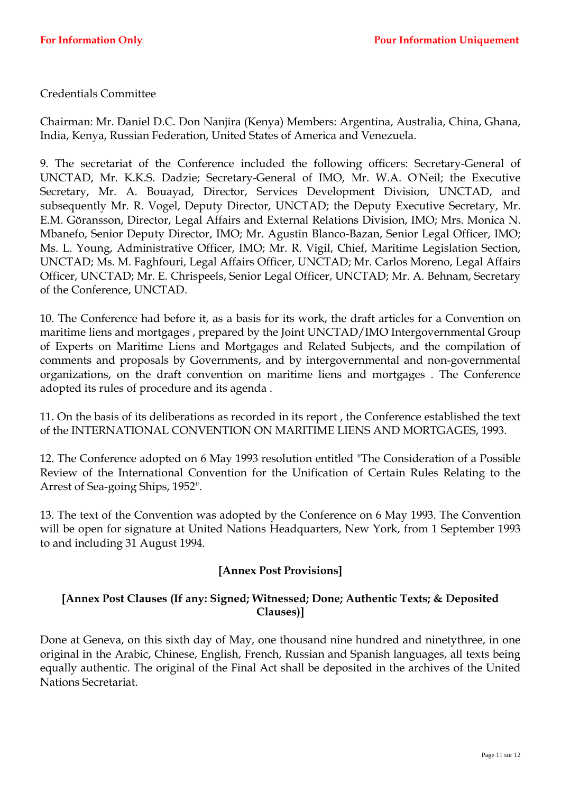## Credentials Committee

Chairman: Mr. Daniel D.C. Don Nanjira (Kenya) Members: Argentina, Australia, China, Ghana, India, Kenya, Russian Federation, United States of America and Venezuela.

9. The secretariat of the Conference included the following officers: Secretary-General of UNCTAD, Mr. K.K.S. Dadzie; Secretary-General of IMO, Mr. W.A. O'Neil; the Executive Secretary, Mr. A. Bouayad, Director, Services Development Division, UNCTAD, and subsequently Mr. R. Vogel, Deputy Director, UNCTAD; the Deputy Executive Secretary, Mr. E.M. Göransson, Director, Legal Affairs and External Relations Division, IMO; Mrs. Monica N. Mbanefo, Senior Deputy Director, IMO; Mr. Agustin Blanco-Bazan, Senior Legal Officer, IMO; Ms. L. Young, Administrative Officer, IMO; Mr. R. Vigil, Chief, Maritime Legislation Section, UNCTAD; Ms. M. Faghfouri, Legal Affairs Officer, UNCTAD; Mr. Carlos Moreno, Legal Affairs Officer, UNCTAD; Mr. E. Chrispeels, Senior Legal Officer, UNCTAD; Mr. A. Behnam, Secretary of the Conference, UNCTAD.

10. The Conference had before it, as a basis for its work, the draft articles for a Convention on maritime liens and mortgages , prepared by the Joint UNCTAD/IMO Intergovernmental Group of Experts on Maritime Liens and Mortgages and Related Subjects, and the compilation of comments and proposals by Governments, and by intergovernmental and non-governmental organizations, on the draft convention on maritime liens and mortgages . The Conference adopted its rules of procedure and its agenda .

11. On the basis of its deliberations as recorded in its report , the Conference established the text of the INTERNATIONAL CONVENTION ON MARITIME LIENS AND MORTGAGES, 1993.

12. The Conference adopted on 6 May 1993 resolution entitled "The Consideration of a Possible Review of the International Convention for the Unification of Certain Rules Relating to the Arrest of Sea-going Ships, 1952".

13. The text of the Convention was adopted by the Conference on 6 May 1993. The Convention will be open for signature at United Nations Headquarters, New York, from 1 September 1993 to and including 31 August 1994.

# **[Annex Post Provisions]**

# **[Annex Post Clauses (If any: Signed; Witnessed; Done; Authentic Texts; & Deposited Clauses)]**

Done at Geneva, on this sixth day of May, one thousand nine hundred and ninetythree, in one original in the Arabic, Chinese, English, French, Russian and Spanish languages, all texts being equally authentic. The original of the Final Act shall be deposited in the archives of the United Nations Secretariat.